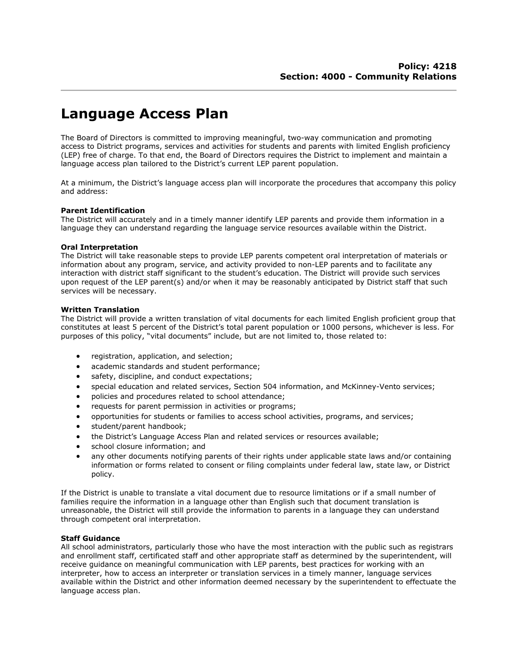# **Language Access Plan**

The Board of Directors is committed to improving meaningful, two-way communication and promoting access to District programs, services and activities for students and parents with limited English proficiency (LEP) free of charge. To that end, the Board of Directors requires the District to implement and maintain a language access plan tailored to the District's current LEP parent population.

At a minimum, the District's language access plan will incorporate the procedures that accompany this policy and address:

## **Parent Identification**

The District will accurately and in a timely manner identify LEP parents and provide them information in a language they can understand regarding the language service resources available within the District.

### **Oral Interpretation**

The District will take reasonable steps to provide LEP parents competent oral interpretation of materials or information about any program, service, and activity provided to non-LEP parents and to facilitate any interaction with district staff significant to the student's education. The District will provide such services upon request of the LEP parent(s) and/or when it may be reasonably anticipated by District staff that such services will be necessary.

### **Written Translation**

The District will provide a written translation of vital documents for each limited English proficient group that constitutes at least 5 percent of the District's total parent population or 1000 persons, whichever is less. For purposes of this policy, "vital documents" include, but are not limited to, those related to:

- registration, application, and selection;
- academic standards and student performance;
- safety, discipline, and conduct expectations;
- special education and related services, Section 504 information, and McKinney-Vento services;
- policies and procedures related to school attendance;
- requests for parent permission in activities or programs;
- opportunities for students or families to access school activities, programs, and services;
- student/parent handbook;
- the District's Language Access Plan and related services or resources available;
- school closure information; and
- any other documents notifying parents of their rights under applicable state laws and/or containing information or forms related to consent or filing complaints under federal law, state law, or District policy.

If the District is unable to translate a vital document due to resource limitations or if a small number of families require the information in a language other than English such that document translation is unreasonable, the District will still provide the information to parents in a language they can understand through competent oral interpretation.

#### **Staff Guidance**

All school administrators, particularly those who have the most interaction with the public such as registrars and enrollment staff, certificated staff and other appropriate staff as determined by the superintendent, will receive guidance on meaningful communication with LEP parents, best practices for working with an interpreter, how to access an interpreter or translation services in a timely manner, language services available within the District and other information deemed necessary by the superintendent to effectuate the language access plan.